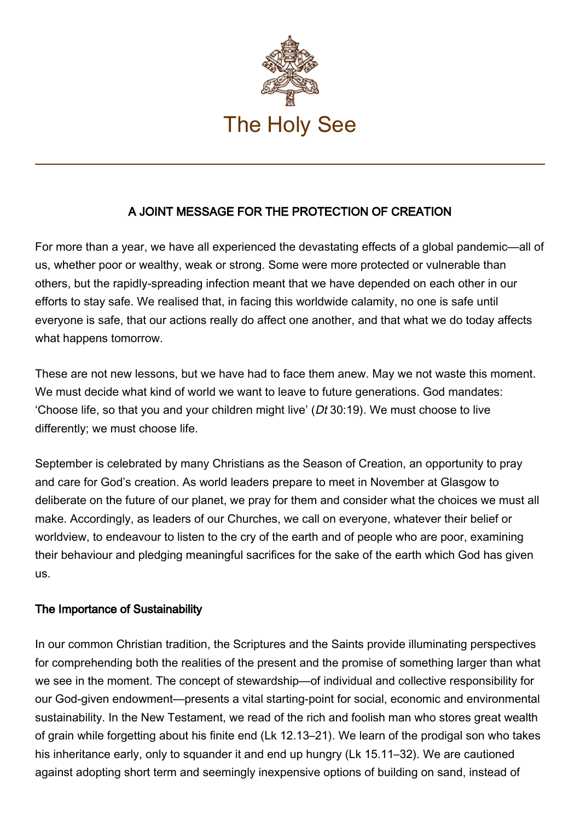

## A JOINT MESSAGE FOR THE PROTECTION OF CREATION

For more than a year, we have all experienced the devastating effects of a global pandemic—all of us, whether poor or wealthy, weak or strong. Some were more protected or vulnerable than others, but the rapidly-spreading infection meant that we have depended on each other in our efforts to stay safe. We realised that, in facing this worldwide calamity, no one is safe until everyone is safe, that our actions really do affect one another, and that what we do today affects what happens tomorrow.

These are not new lessons, but we have had to face them anew. May we not waste this moment. We must decide what kind of world we want to leave to future generations. God mandates: 'Choose life, so that you and your children might live' (Dt 30:19). We must choose to live differently; we must choose life.

September is celebrated by many Christians as the Season of Creation, an opportunity to pray and care for God's creation. As world leaders prepare to meet in November at Glasgow to deliberate on the future of our planet, we pray for them and consider what the choices we must all make. Accordingly, as leaders of our Churches, we call on everyone, whatever their belief or worldview, to endeavour to listen to the cry of the earth and of people who are poor, examining their behaviour and pledging meaningful sacrifices for the sake of the earth which God has given us.

## The Importance of Sustainability

In our common Christian tradition, the Scriptures and the Saints provide illuminating perspectives for comprehending both the realities of the present and the promise of something larger than what we see in the moment. The concept of stewardship—of individual and collective responsibility for our God-given endowment—presents a vital starting-point for social, economic and environmental sustainability. In the New Testament, we read of the rich and foolish man who stores great wealth of grain while forgetting about his finite end (Lk 12.13–21). We learn of the prodigal son who takes his inheritance early, only to squander it and end up hungry (Lk 15.11–32). We are cautioned against adopting short term and seemingly inexpensive options of building on sand, instead of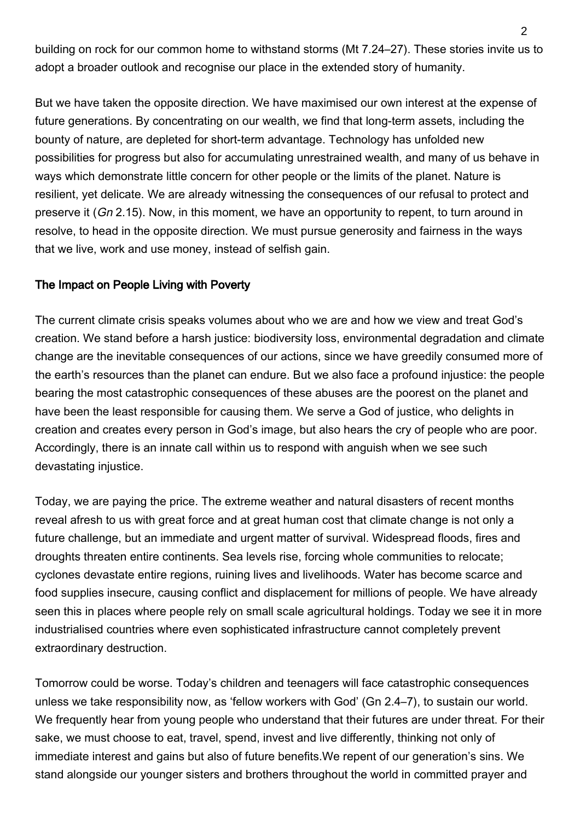building on rock for our common home to withstand storms (Mt 7.24–27). These stories invite us to adopt a broader outlook and recognise our place in the extended story of humanity.

But we have taken the opposite direction. We have maximised our own interest at the expense of future generations. By concentrating on our wealth, we find that long-term assets, including the bounty of nature, are depleted for short-term advantage. Technology has unfolded new possibilities for progress but also for accumulating unrestrained wealth, and many of us behave in ways which demonstrate little concern for other people or the limits of the planet. Nature is resilient, yet delicate. We are already witnessing the consequences of our refusal to protect and preserve it (Gn 2.15). Now, in this moment, we have an opportunity to repent, to turn around in resolve, to head in the opposite direction. We must pursue generosity and fairness in the ways that we live, work and use money, instead of selfish gain.

## The Impact on People Living with Poverty

The current climate crisis speaks volumes about who we are and how we view and treat God's creation. We stand before a harsh justice: biodiversity loss, environmental degradation and climate change are the inevitable consequences of our actions, since we have greedily consumed more of the earth's resources than the planet can endure. But we also face a profound injustice: the people bearing the most catastrophic consequences of these abuses are the poorest on the planet and have been the least responsible for causing them. We serve a God of justice, who delights in creation and creates every person in God's image, but also hears the cry of people who are poor. Accordingly, there is an innate call within us to respond with anguish when we see such devastating injustice.

Today, we are paying the price. The extreme weather and natural disasters of recent months reveal afresh to us with great force and at great human cost that climate change is not only a future challenge, but an immediate and urgent matter of survival. Widespread floods, fires and droughts threaten entire continents. Sea levels rise, forcing whole communities to relocate; cyclones devastate entire regions, ruining lives and livelihoods. Water has become scarce and food supplies insecure, causing conflict and displacement for millions of people. We have already seen this in places where people rely on small scale agricultural holdings. Today we see it in more industrialised countries where even sophisticated infrastructure cannot completely prevent extraordinary destruction.

Tomorrow could be worse. Today's children and teenagers will face catastrophic consequences unless we take responsibility now, as 'fellow workers with God' (Gn 2.4–7), to sustain our world. We frequently hear from young people who understand that their futures are under threat. For their sake, we must choose to eat, travel, spend, invest and live differently, thinking not only of immediate interest and gains but also of future benefits.We repent of our generation's sins. We stand alongside our younger sisters and brothers throughout the world in committed prayer and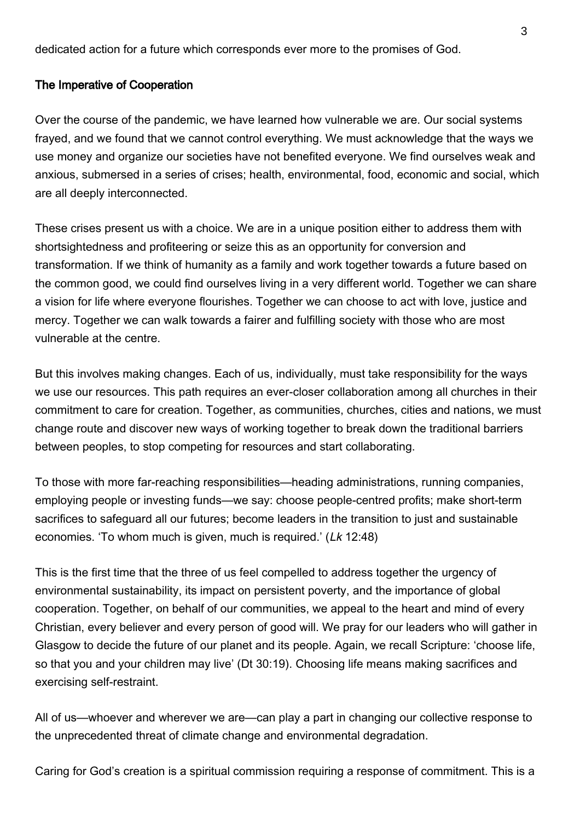dedicated action for a future which corresponds ever more to the promises of God.

## The Imperative of Cooperation

Over the course of the pandemic, we have learned how vulnerable we are. Our social systems frayed, and we found that we cannot control everything. We must acknowledge that the ways we use money and organize our societies have not benefited everyone. We find ourselves weak and anxious, submersed in a series of crises; health, environmental, food, economic and social, which are all deeply interconnected.

These crises present us with a choice. We are in a unique position either to address them with shortsightedness and profiteering or seize this as an opportunity for conversion and transformation. If we think of humanity as a family and work together towards a future based on the common good, we could find ourselves living in a very different world. Together we can share a vision for life where everyone flourishes. Together we can choose to act with love, justice and mercy. Together we can walk towards a fairer and fulfilling society with those who are most vulnerable at the centre.

But this involves making changes. Each of us, individually, must take responsibility for the ways we use our resources. This path requires an ever-closer collaboration among all churches in their commitment to care for creation. Together, as communities, churches, cities and nations, we must change route and discover new ways of working together to break down the traditional barriers between peoples, to stop competing for resources and start collaborating.

To those with more far-reaching responsibilities—heading administrations, running companies, employing people or investing funds—we say: choose people-centred profits; make short-term sacrifices to safeguard all our futures; become leaders in the transition to just and sustainable economies. 'To whom much is given, much is required.' (Lk 12:48)

This is the first time that the three of us feel compelled to address together the urgency of environmental sustainability, its impact on persistent poverty, and the importance of global cooperation. Together, on behalf of our communities, we appeal to the heart and mind of every Christian, every believer and every person of good will. We pray for our leaders who will gather in Glasgow to decide the future of our planet and its people. Again, we recall Scripture: 'choose life, so that you and your children may live' (Dt 30:19). Choosing life means making sacrifices and exercising self-restraint.

All of us—whoever and wherever we are—can play a part in changing our collective response to the unprecedented threat of climate change and environmental degradation.

Caring for God's creation is a spiritual commission requiring a response of commitment. This is a